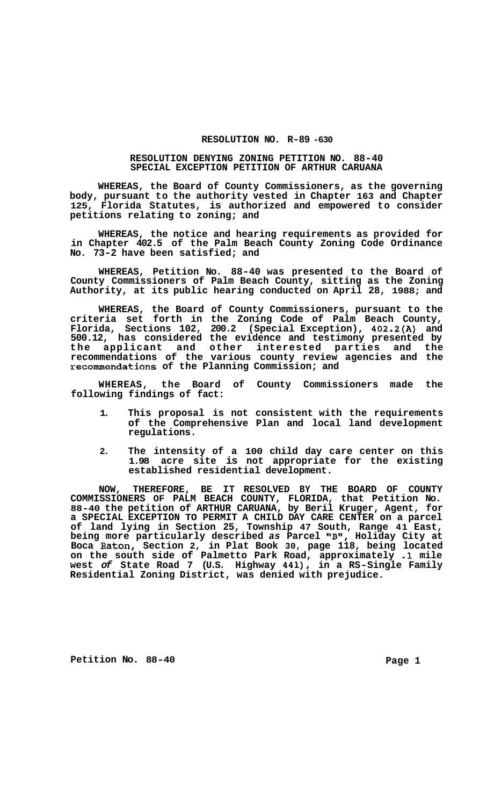## **RESOLUTION NO. R-89 -630**

## **RESOLUTION DENYING ZONING PETITION NO. 88-40 SPECIAL EXCEPTION PETITION OF ARTHUR CARUANA**

**WHEREAS, the Board of County Commissioners, as the governing body, pursuant to the authority vested in Chapter 163 and Chapter 125, Florida Statutes, is authorized and empowered to consider petitions relating to zoning; and** 

**WHEREAS, the notice and hearing requirements as provided for in Chapter 402.5 of the Palm Beach County Zoning Code Ordinance No. 73-2 have been satisfied; and** 

**WHEREAS, Petition No. 88-40 was presented to the Board of County Commissioners of Palm Beach County, sitting as the Zoning Authority, at its public hearing conducted on April 28, 1988; and** 

**WHEREAS, the Board of County Commissioners, pursuant to the criteria set forth in the Zoning Code of Palm Beach County, Florida, Sections 102, 200.2 (Special Exception), 402.2(A) and 500.12, has considered the evidence and testimony presented by the applicant and other interested parties and the recommendations of the various county review agencies and the recommendations of the Planning Commission; and** 

**WHEREAS, the Board of County Commissioners made the following findings of fact:** 

- **1. This proposal is not consistent with the requirements of the Comprehensive Plan and local land development regulations.**
- **2. The intensity of a 100 child day care center on this 1.98 acre site is not appropriate for the existing established residential development.**

**NOW, THEREFORE, BE IT RESOLVED BY THE BOARD OF COUNTY COMMISSIONERS OF PALM BEACH COUNTY, FLORIDA, that Petition No. 88-40 the petition of ARTHUR CARUANA, by Beril Kruger, Agent, for a SPECIAL EXCEPTION TO PERMIT A CHILD DAY CARE CENTER on a parcel of land lying in Section 25, Township 47 South, Range 41 East,**  being more particularly described *as* Parcel "B", Holiday City at **Boca Raton, Section 2, in Plat Book 30, page 118, being located on the south side of Palmetto Park Road, approximately .1 mile west** *of* **State Road 7 (U.S. Highway 441), in a RS-Single Family Residential Zoning District, was denied with prejudice.** 

Petition No. 88-40 **Page 1** Page 1